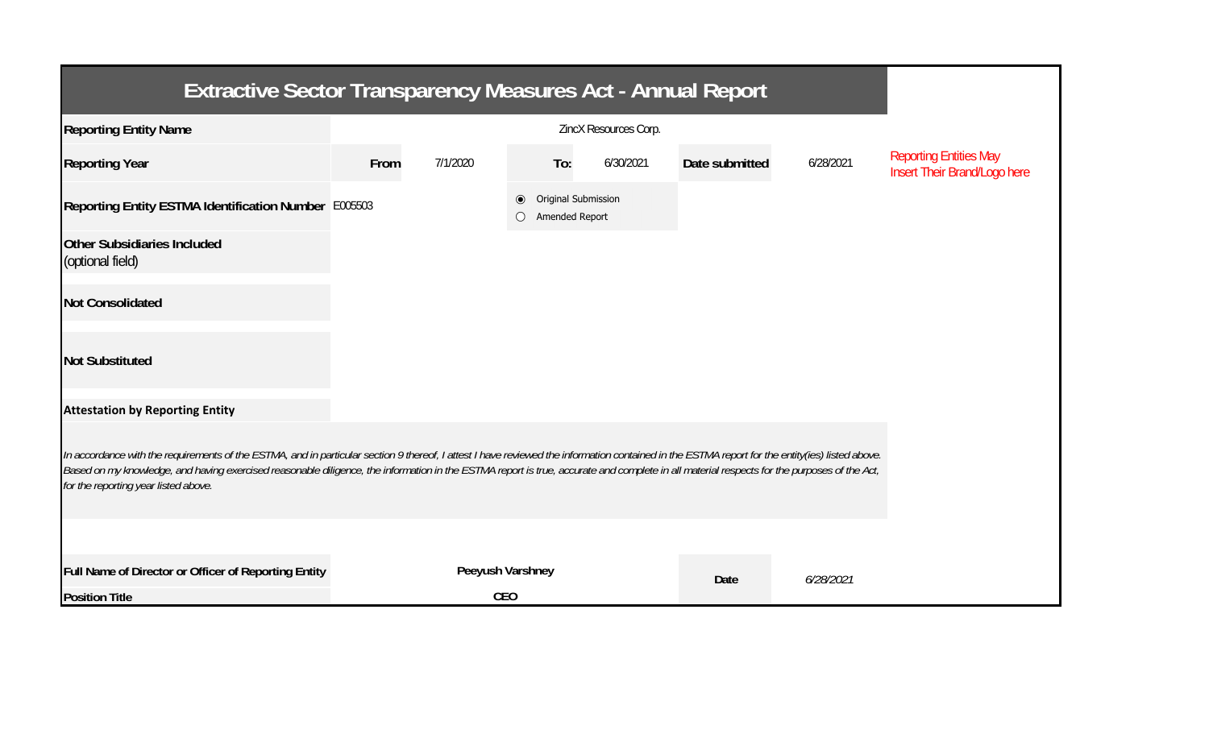| Extractive Sector Transparency Measures Act - Annual Report                                                                                                                                                                                                                                                                                                                                                                           |                       |                  |           |                                       |                |           |                                                               |  |  |  |  |
|---------------------------------------------------------------------------------------------------------------------------------------------------------------------------------------------------------------------------------------------------------------------------------------------------------------------------------------------------------------------------------------------------------------------------------------|-----------------------|------------------|-----------|---------------------------------------|----------------|-----------|---------------------------------------------------------------|--|--|--|--|
| <b>Reporting Entity Name</b>                                                                                                                                                                                                                                                                                                                                                                                                          | ZincX Resources Corp. |                  |           |                                       |                |           |                                                               |  |  |  |  |
| <b>Reporting Year</b>                                                                                                                                                                                                                                                                                                                                                                                                                 | From                  | 7/1/2020         | To:       | 6/30/2021                             | Date submitted | 6/28/2021 | <b>Reporting Entities May</b><br>Insert Their Brand/Logo here |  |  |  |  |
| Reporting Entity ESTMA Identification Number E005503                                                                                                                                                                                                                                                                                                                                                                                  |                       |                  | $\bullet$ | Original Submission<br>Amended Report |                |           |                                                               |  |  |  |  |
| <b>Other Subsidiaries Included</b><br>(optional field)                                                                                                                                                                                                                                                                                                                                                                                |                       |                  |           |                                       |                |           |                                                               |  |  |  |  |
| <b>Not Consolidated</b>                                                                                                                                                                                                                                                                                                                                                                                                               |                       |                  |           |                                       |                |           |                                                               |  |  |  |  |
| <b>Not Substituted</b>                                                                                                                                                                                                                                                                                                                                                                                                                |                       |                  |           |                                       |                |           |                                                               |  |  |  |  |
| <b>Attestation by Reporting Entity</b>                                                                                                                                                                                                                                                                                                                                                                                                |                       |                  |           |                                       |                |           |                                                               |  |  |  |  |
| In accordance with the requirements of the ESTMA, and in particular section 9 thereof, I attest I have reviewed the information contained in the ESTMA report for the entity(ies) listed above.<br>Based on my knowledge, and having exercised reasonable diligence, the information in the ESTMA report is true, accurate and complete in all material respects for the purposes of the Act,<br>for the reporting year listed above. |                       |                  |           |                                       |                |           |                                                               |  |  |  |  |
|                                                                                                                                                                                                                                                                                                                                                                                                                                       |                       |                  |           |                                       |                |           |                                                               |  |  |  |  |
| Full Name of Director or Officer of Reporting Entity                                                                                                                                                                                                                                                                                                                                                                                  |                       | Peeyush Varshney |           |                                       | Date           | 6/28/2021 |                                                               |  |  |  |  |
| <b>Position Title</b>                                                                                                                                                                                                                                                                                                                                                                                                                 |                       | <b>CEO</b>       |           |                                       |                |           |                                                               |  |  |  |  |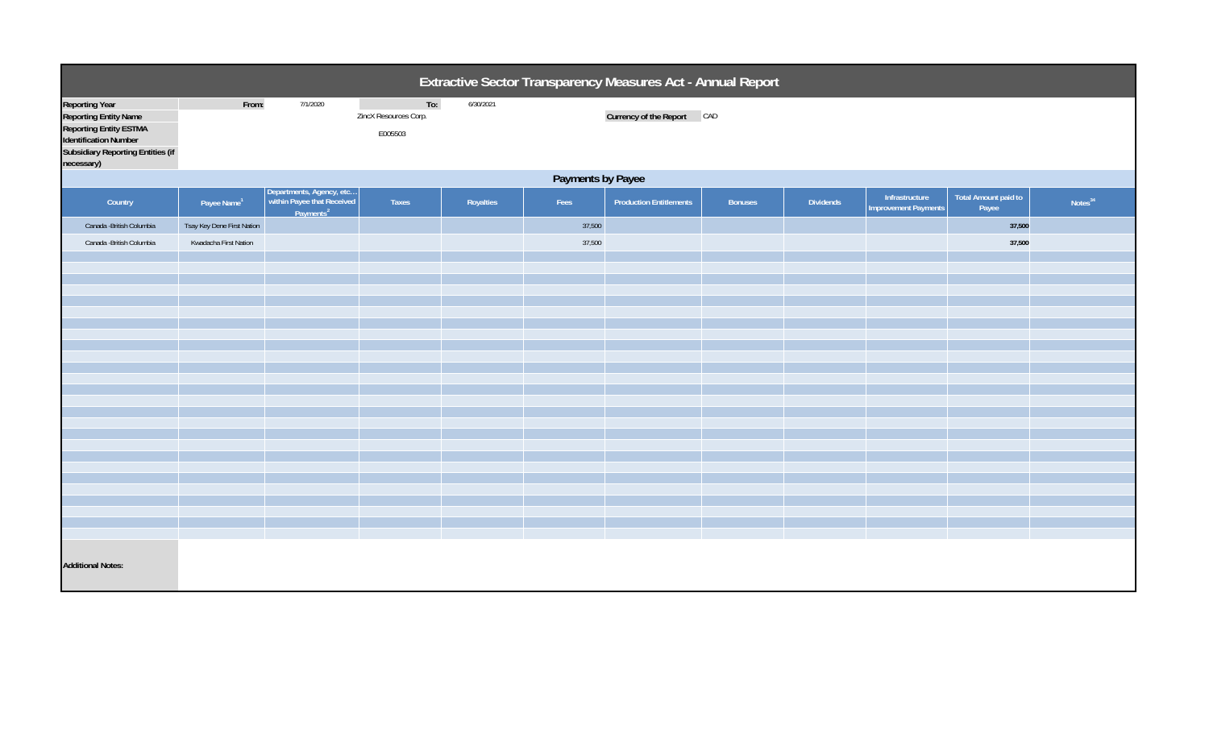| Extractive Sector Transparency Measures Act - Annual Report                                                                                                               |                            |                                                                                 |                                         |           |        |                                |                |           |                                               |                                      |                     |  |
|---------------------------------------------------------------------------------------------------------------------------------------------------------------------------|----------------------------|---------------------------------------------------------------------------------|-----------------------------------------|-----------|--------|--------------------------------|----------------|-----------|-----------------------------------------------|--------------------------------------|---------------------|--|
| <b>Reporting Year</b><br><b>Reporting Entity Name</b><br><b>Reporting Entity ESTMA</b><br>Identification Number<br><b>Subsidiary Reporting Entities (if</b><br>necessary) | From:                      | 7/1/2020                                                                        | To:<br>ZincX Resources Corp.<br>E005503 | 6/30/2021 |        | Currency of the Report CAD     |                |           |                                               |                                      |                     |  |
|                                                                                                                                                                           | Payments by Payee          |                                                                                 |                                         |           |        |                                |                |           |                                               |                                      |                     |  |
| Country                                                                                                                                                                   | Payee Name <sup>1</sup>    | Departments, Agency, etc<br>within Payee that Received<br>Payments <sup>2</sup> | Taxes                                   | Royalties | Fees   | <b>Production Entitlements</b> | <b>Bonuses</b> | Dividends | Infrastructure<br><b>Improvement Payments</b> | <b>Total Amount paid to</b><br>Payee | Notes <sup>34</sup> |  |
| Canada - British Columbia                                                                                                                                                 | Tsay Key Dene First Nation |                                                                                 |                                         |           | 37,500 |                                |                |           |                                               | 37,500                               |                     |  |
| Canada - British Columbia                                                                                                                                                 | Kwadacha First Nation      |                                                                                 |                                         |           | 37,500 |                                |                |           |                                               | 37,500                               |                     |  |
|                                                                                                                                                                           |                            |                                                                                 |                                         |           |        |                                |                |           |                                               |                                      |                     |  |
|                                                                                                                                                                           |                            |                                                                                 |                                         |           |        |                                |                |           |                                               |                                      |                     |  |
|                                                                                                                                                                           |                            |                                                                                 |                                         |           |        |                                |                |           |                                               |                                      |                     |  |
|                                                                                                                                                                           |                            |                                                                                 |                                         |           |        |                                |                |           |                                               |                                      |                     |  |
|                                                                                                                                                                           |                            |                                                                                 |                                         |           |        |                                |                |           |                                               |                                      |                     |  |
|                                                                                                                                                                           |                            |                                                                                 |                                         |           |        |                                |                |           |                                               |                                      |                     |  |
|                                                                                                                                                                           |                            |                                                                                 |                                         |           |        |                                |                |           |                                               |                                      |                     |  |
|                                                                                                                                                                           |                            |                                                                                 |                                         |           |        |                                |                |           |                                               |                                      |                     |  |
|                                                                                                                                                                           |                            |                                                                                 |                                         |           |        |                                |                |           |                                               |                                      |                     |  |
|                                                                                                                                                                           |                            |                                                                                 |                                         |           |        |                                |                |           |                                               |                                      |                     |  |
|                                                                                                                                                                           |                            |                                                                                 |                                         |           |        |                                |                |           |                                               |                                      |                     |  |
|                                                                                                                                                                           |                            |                                                                                 |                                         |           |        |                                |                |           |                                               |                                      |                     |  |
|                                                                                                                                                                           |                            |                                                                                 |                                         |           |        |                                |                |           |                                               |                                      |                     |  |
|                                                                                                                                                                           |                            |                                                                                 |                                         |           |        |                                |                |           |                                               |                                      |                     |  |
|                                                                                                                                                                           |                            |                                                                                 |                                         |           |        |                                |                |           |                                               |                                      |                     |  |
| <b>Additional Notes:</b>                                                                                                                                                  |                            |                                                                                 |                                         |           |        |                                |                |           |                                               |                                      |                     |  |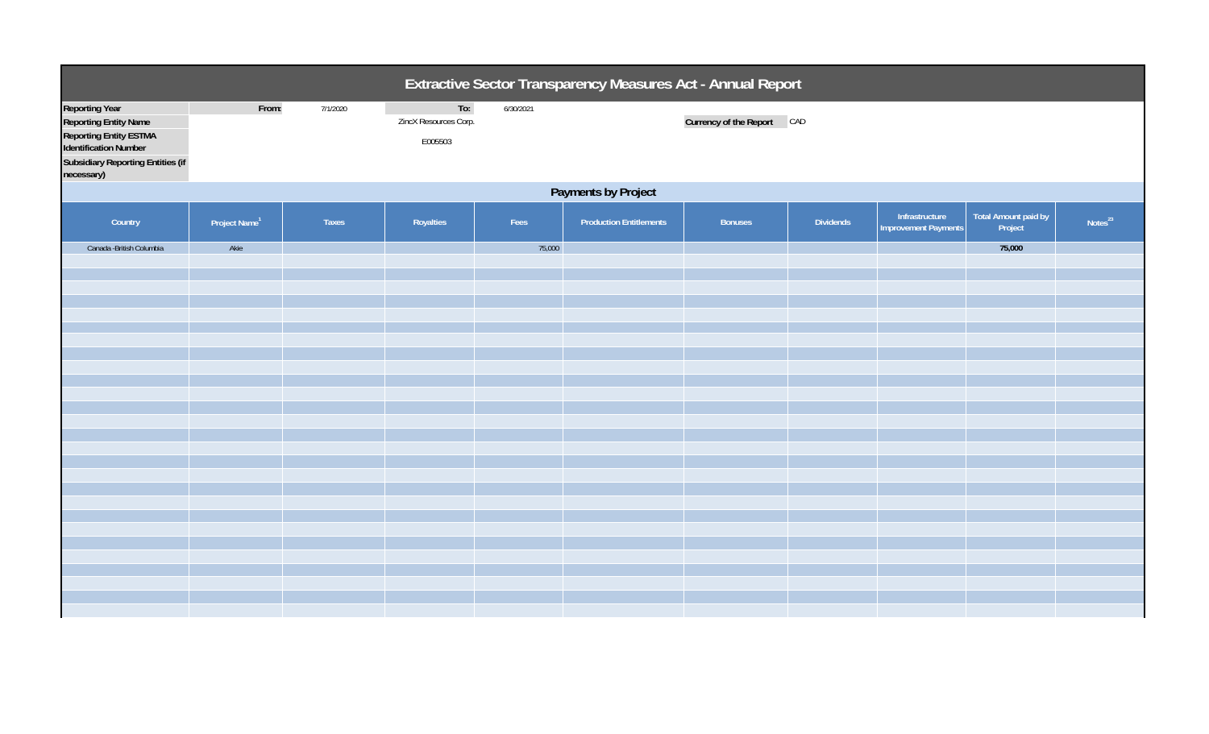| Extractive Sector Transparency Measures Act - Annual Report                                                                                                                      |                           |              |                                         |           |                                |                            |                  |                                               |                                 |                     |  |
|----------------------------------------------------------------------------------------------------------------------------------------------------------------------------------|---------------------------|--------------|-----------------------------------------|-----------|--------------------------------|----------------------------|------------------|-----------------------------------------------|---------------------------------|---------------------|--|
| <b>Reporting Year</b><br><b>Reporting Entity Name</b><br><b>Reporting Entity ESTMA</b><br><b>Identification Number</b><br><b>Subsidiary Reporting Entities (if</b><br>necessary) | From:                     | 7/1/2020     | To:<br>ZincX Resources Corp.<br>E005503 | 6/30/2021 |                                | Currency of the Report CAD |                  |                                               |                                 |                     |  |
|                                                                                                                                                                                  | Payments by Project       |              |                                         |           |                                |                            |                  |                                               |                                 |                     |  |
| Country                                                                                                                                                                          | Project Name <sup>1</sup> | <b>Taxes</b> | Royalties                               | Fees      | <b>Production Entitlements</b> | <b>Bonuses</b>             | <b>Dividends</b> | Infrastructure<br><b>Improvement Payments</b> | Total Amount paid by<br>Project | Notes <sup>23</sup> |  |
| Canada - British Columbia                                                                                                                                                        | Akie                      |              |                                         | 75,000    |                                |                            |                  |                                               | 75,000                          |                     |  |
|                                                                                                                                                                                  |                           |              |                                         |           |                                |                            |                  |                                               |                                 |                     |  |
|                                                                                                                                                                                  |                           |              |                                         |           |                                |                            |                  |                                               |                                 |                     |  |
|                                                                                                                                                                                  |                           |              |                                         |           |                                |                            |                  |                                               |                                 |                     |  |
|                                                                                                                                                                                  |                           |              |                                         |           |                                |                            |                  |                                               |                                 |                     |  |
|                                                                                                                                                                                  |                           |              |                                         |           |                                |                            |                  |                                               |                                 |                     |  |
|                                                                                                                                                                                  |                           |              |                                         |           |                                |                            |                  |                                               |                                 |                     |  |
|                                                                                                                                                                                  |                           |              |                                         |           |                                |                            |                  |                                               |                                 |                     |  |
|                                                                                                                                                                                  |                           |              |                                         |           |                                |                            |                  |                                               |                                 |                     |  |
|                                                                                                                                                                                  |                           |              |                                         |           |                                |                            |                  |                                               |                                 |                     |  |
|                                                                                                                                                                                  |                           |              |                                         |           |                                |                            |                  |                                               |                                 |                     |  |
|                                                                                                                                                                                  |                           |              |                                         |           |                                |                            |                  |                                               |                                 |                     |  |
|                                                                                                                                                                                  |                           |              |                                         |           |                                |                            |                  |                                               |                                 |                     |  |
|                                                                                                                                                                                  |                           |              |                                         |           |                                |                            |                  |                                               |                                 |                     |  |
|                                                                                                                                                                                  |                           |              |                                         |           |                                |                            |                  |                                               |                                 |                     |  |
|                                                                                                                                                                                  |                           |              |                                         |           |                                |                            |                  |                                               |                                 |                     |  |
|                                                                                                                                                                                  |                           |              |                                         |           |                                |                            |                  |                                               |                                 |                     |  |
|                                                                                                                                                                                  |                           |              |                                         |           |                                |                            |                  |                                               |                                 |                     |  |
|                                                                                                                                                                                  |                           |              |                                         |           |                                |                            |                  |                                               |                                 |                     |  |